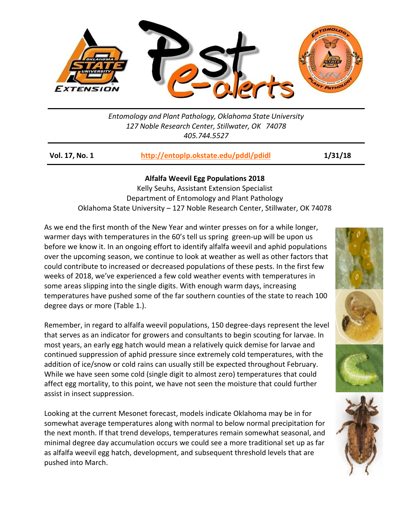

*Entomology and Plant Pathology, Oklahoma State University 127 Noble Research Center, Stillwater, OK 74078 405.744.5527*

| Vol. 17, No. 1 | http://entoplp.okstate.edu/pddl/pdidl | 1/31/18 |
|----------------|---------------------------------------|---------|
|                |                                       |         |

## **Alfalfa Weevil Egg Populations 2018**

Kelly Seuhs, Assistant Extension Specialist Department of Entomology and Plant Pathology Oklahoma State University – 127 Noble Research Center, Stillwater, OK 74078

As we end the first month of the New Year and winter presses on for a while longer, warmer days with temperatures in the 60's tell us spring green-up will be upon us before we know it. In an ongoing effort to identify alfalfa weevil and aphid populations over the upcoming season, we continue to look at weather as well as other factors that could contribute to increased or decreased populations of these pests. In the first few weeks of 2018, we've experienced a few cold weather events with temperatures in some areas slipping into the single digits. With enough warm days, increasing temperatures have pushed some of the far southern counties of the state to reach 100 degree days or more (Table 1.).

Remember, in regard to alfalfa weevil populations, 150 degree-days represent the level that serves as an indicator for growers and consultants to begin scouting for larvae. In most years, an early egg hatch would mean a relatively quick demise for larvae and continued suppression of aphid pressure since extremely cold temperatures, with the addition of ice/snow or cold rains can usually still be expected throughout February. While we have seen some cold (single digit to almost zero) temperatures that could affect egg mortality, to this point, we have not seen the moisture that could further assist in insect suppression.

Looking at the current Mesonet forecast, models indicate Oklahoma may be in for somewhat average temperatures along with normal to below normal precipitation for the next month. If that trend develops, temperatures remain somewhat seasonal, and minimal degree day accumulation occurs we could see a more traditional set up as far as alfalfa weevil egg hatch, development, and subsequent threshold levels that are pushed into March.